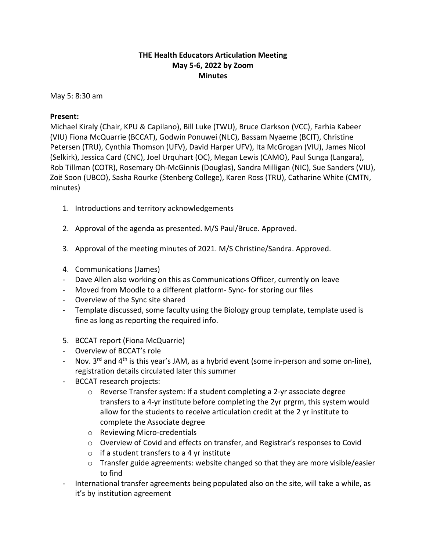## **THE Health Educators Articulation Meeting May 5-6, 2022 by Zoom Minutes**

May 5: 8:30 am

## **Present:**

Michael Kiraly (Chair, KPU & Capilano), Bill Luke (TWU), Bruce Clarkson (VCC), Farhia Kabeer (VIU) Fiona McQuarrie (BCCAT), Godwin Ponuwei (NLC), Bassam Nyaeme (BCIT), Christine Petersen (TRU), Cynthia Thomson (UFV), David Harper UFV), Ita McGrogan (VIU), James Nicol (Selkirk), Jessica Card (CNC), Joel Urquhart (OC), Megan Lewis (CAMO), Paul Sunga (Langara), Rob Tillman (COTR), Rosemary Oh-McGinnis (Douglas), Sandra Milligan (NIC), Sue Sanders (VIU), Zoë Soon (UBCO), Sasha Rourke (Stenberg College), Karen Ross (TRU), Catharine White (CMTN, minutes)

- 1. Introductions and territory acknowledgements
- 2. Approval of the agenda as presented. M/S Paul/Bruce. Approved.
- 3. Approval of the meeting minutes of 2021. M/S Christine/Sandra. Approved.
- 4. Communications (James)
- Dave Allen also working on this as Communications Officer, currently on leave
- Moved from Moodle to a different platform- Sync- for storing our files
- Overview of the Sync site shared
- Template discussed, some faculty using the Biology group template, template used is fine as long as reporting the required info.
- 5. BCCAT report (Fiona McQuarrie)
- Overview of BCCAT's role
- Nov. 3<sup>rd</sup> and 4<sup>th</sup> is this year's JAM, as a hybrid event (some in-person and some on-line), registration details circulated later this summer
- BCCAT research projects:
	- o Reverse Transfer system: If a student completing a 2-yr associate degree transfers to a 4-yr institute before completing the 2yr prgrm, this system would allow for the students to receive articulation credit at the 2 yr institute to complete the Associate degree
	- o Reviewing Micro-credentials
	- o Overview of Covid and effects on transfer, and Registrar's responses to Covid
	- $\circ$  if a student transfers to a 4 yr institute
	- o Transfer guide agreements: website changed so that they are more visible/easier to find
- International transfer agreements being populated also on the site, will take a while, as it's by institution agreement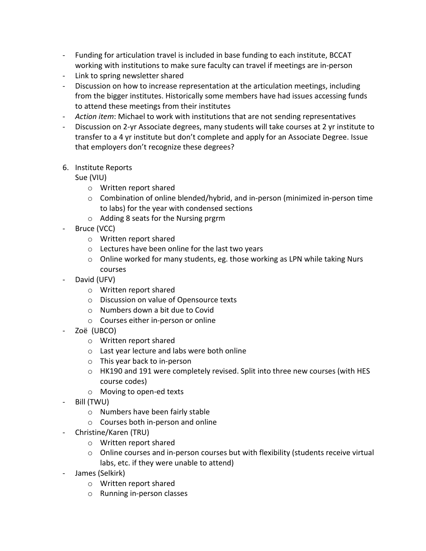- Funding for articulation travel is included in base funding to each institute, BCCAT working with institutions to make sure faculty can travel if meetings are in-person
- Link to spring newsletter shared
- Discussion on how to increase representation at the articulation meetings, including from the bigger institutes. Historically some members have had issues accessing funds to attend these meetings from their institutes
- *Action item*: Michael to work with institutions that are not sending representatives
- Discussion on 2-yr Associate degrees, many students will take courses at 2 yr institute to transfer to a 4 yr institute but don't complete and apply for an Associate Degree. Issue that employers don't recognize these degrees?
- 6. Institute Reports

Sue (VIU)

- o Written report shared
- o Combination of online blended/hybrid, and in-person (minimized in-person time to labs) for the year with condensed sections
- o Adding 8 seats for the Nursing prgrm
- Bruce (VCC)
	- o Written report shared
	- o Lectures have been online for the last two years
	- $\circ$  Online worked for many students, eg. those working as LPN while taking Nurs courses
- David (UFV)
	- o Written report shared
	- o Discussion on value of Opensource texts
	- o Numbers down a bit due to Covid
	- o Courses either in-person or online
- Zoë (UBCO)
	- o Written report shared
	- o Last year lecture and labs were both online
	- o This year back to in-person
	- $\circ$  HK190 and 191 were completely revised. Split into three new courses (with HES course codes)
	- o Moving to open-ed texts
- Bill (TWU)
	- o Numbers have been fairly stable
	- o Courses both in-person and online
- Christine/Karen (TRU)
	- o Written report shared
	- $\circ$  Online courses and in-person courses but with flexibility (students receive virtual labs, etc. if they were unable to attend)
- James (Selkirk)
	- o Written report shared
	- o Running in-person classes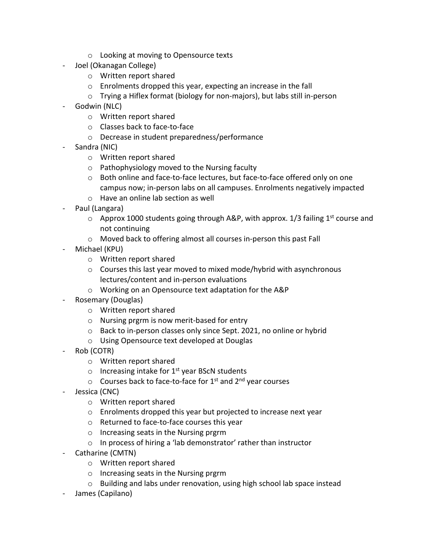- o Looking at moving to Opensource texts
- Joel (Okanagan College)
	- o Written report shared
	- o Enrolments dropped this year, expecting an increase in the fall
	- o Trying a Hiflex format (biology for non-majors), but labs still in-person
- Godwin (NLC)
	- o Written report shared
	- o Classes back to face-to-face
	- o Decrease in student preparedness/performance
- Sandra (NIC)
	- o Written report shared
	- o Pathophysiology moved to the Nursing faculty
	- o Both online and face-to-face lectures, but face-to-face offered only on one campus now; in-person labs on all campuses. Enrolments negatively impacted
	- o Have an online lab section as well
- Paul (Langara)
	- $\circ$  Approx 1000 students going through A&P, with approx. 1/3 failing 1<sup>st</sup> course and not continuing
	- o Moved back to offering almost all courses in-person this past Fall
- Michael (KPU)
	- o Written report shared
	- o Courses this last year moved to mixed mode/hybrid with asynchronous lectures/content and in-person evaluations
	- o Working on an Opensource text adaptation for the A&P
- Rosemary (Douglas)
	- o Written report shared
	- o Nursing prgrm is now merit-based for entry
	- o Back to in-person classes only since Sept. 2021, no online or hybrid
	- o Using Opensource text developed at Douglas
- Rob (COTR)
	- o Written report shared
	- $\circ$  Increasing intake for 1<sup>st</sup> year BScN students
	- $\circ$  Courses back to face-to-face for 1<sup>st</sup> and 2<sup>nd</sup> year courses
- Jessica (CNC)
	- o Written report shared
	- o Enrolments dropped this year but projected to increase next year
	- o Returned to face-to-face courses this year
	- o Increasing seats in the Nursing prgrm
	- o In process of hiring a 'lab demonstrator' rather than instructor
- Catharine (CMTN)
	- o Written report shared
	- o Increasing seats in the Nursing prgrm
	- o Building and labs under renovation, using high school lab space instead
- James (Capilano)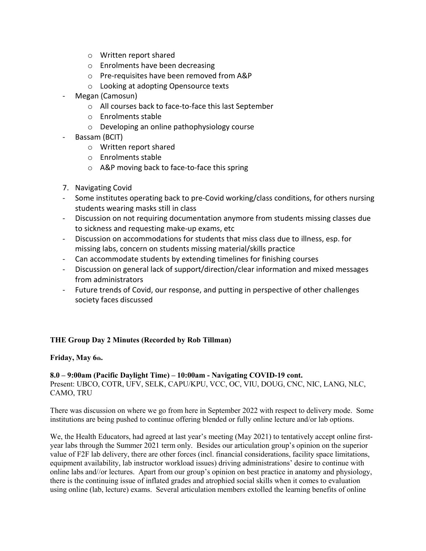- o Written report shared
- o Enrolments have been decreasing
- o Pre-requisites have been removed from A&P
- o Looking at adopting Opensource texts
- Megan (Camosun)
	- o All courses back to face-to-face this last September
	- o Enrolments stable
	- o Developing an online pathophysiology course
- Bassam (BCIT)
	- o Written report shared
	- o Enrolments stable
	- o A&P moving back to face-to-face this spring
- 7. Navigating Covid
- Some institutes operating back to pre-Covid working/class conditions, for others nursing students wearing masks still in class
- Discussion on not requiring documentation anymore from students missing classes due to sickness and requesting make-up exams, etc
- Discussion on accommodations for students that miss class due to illness, esp. for missing labs, concern on students missing material/skills practice
- Can accommodate students by extending timelines for finishing courses
- Discussion on general lack of support/direction/clear information and mixed messages from administrators
- Future trends of Covid, our response, and putting in perspective of other challenges society faces discussed

### **THE Group Day 2 Minutes (Recorded by Rob Tillman)**

**Friday, May 6th.** 

### **8.0 – 9:00am (Pacific Daylight Time) – 10:00am - Navigating COVID-19 cont.** Present: UBCO, COTR, UFV, SELK, CAPU/KPU, VCC, OC, VIU, DOUG, CNC, NIC, LANG, NLC, CAMO, TRU

There was discussion on where we go from here in September 2022 with respect to delivery mode. Some institutions are being pushed to continue offering blended or fully online lecture and/or lab options.

We, the Health Educators, had agreed at last year's meeting (May 2021) to tentatively accept online firstyear labs through the Summer 2021 term only. Besides our articulation group's opinion on the superior value of F2F lab delivery, there are other forces (incl. financial considerations, facility space limitations, equipment availability, lab instructor workload issues) driving administrations' desire to continue with online labs and//or lectures. Apart from our group's opinion on best practice in anatomy and physiology, there is the continuing issue of inflated grades and atrophied social skills when it comes to evaluation using online (lab, lecture) exams. Several articulation members extolled the learning benefits of online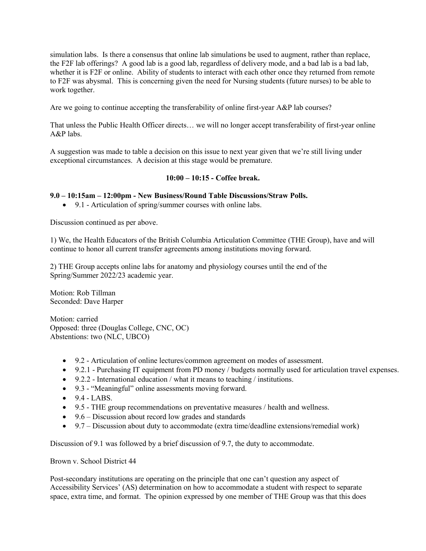simulation labs. Is there a consensus that online lab simulations be used to augment, rather than replace, the F2F lab offerings? A good lab is a good lab, regardless of delivery mode, and a bad lab is a bad lab, whether it is F2F or online. Ability of students to interact with each other once they returned from remote to F2F was abysmal. This is concerning given the need for Nursing students (future nurses) to be able to work together.

Are we going to continue accepting the transferability of online first-year A&P lab courses?

That unless the Public Health Officer directs… we will no longer accept transferability of first-year online A&P labs.

A suggestion was made to table a decision on this issue to next year given that we're still living under exceptional circumstances. A decision at this stage would be premature.

### **10:00 – 10:15 - Coffee break.**

### **9.0 – 10:15am – 12:00pm - New Business/Round Table Discussions/Straw Polls.**

• 9.1 - Articulation of spring/summer courses with online labs.

Discussion continued as per above.

1) We, the Health Educators of the British Columbia Articulation Committee (THE Group), have and will continue to honor all current transfer agreements among institutions moving forward.

2) THE Group accepts online labs for anatomy and physiology courses until the end of the Spring/Summer 2022/23 academic year.

Motion: Rob Tillman Seconded: Dave Harper

Motion: carried Opposed: three (Douglas College, CNC, OC) Abstentions: two (NLC, UBCO)

- 9.2 Articulation of online lectures/common agreement on modes of assessment.
- 9.2.1 Purchasing IT equipment from PD money / budgets normally used for articulation travel expenses.
- 9.2.2 International education / what it means to teaching / institutions.
- 9.3 "Meaningful" online assessments moving forward.
- $\bullet$  9.4 LABS.
- 9.5 THE group recommendations on preventative measures / health and wellness.
- 9.6 Discussion about record low grades and standards
- 9.7 Discussion about duty to accommodate (extra time/deadline extensions/remedial work)

Discussion of 9.1 was followed by a brief discussion of 9.7, the duty to accommodate.

Brown v. School District 44

Post-secondary institutions are operating on the principle that one can't question any aspect of Accessibility Services' (AS) determination on how to accommodate a student with respect to separate space, extra time, and format. The opinion expressed by one member of THE Group was that this does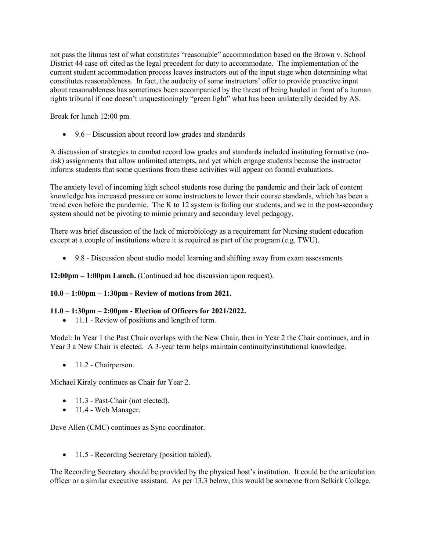not pass the litmus test of what constitutes "reasonable" accommodation based on the Brown v. School District 44 case oft cited as the legal precedent for duty to accommodate. The implementation of the current student accommodation process leaves instructors out of the input stage when determining what constitutes reasonableness. In fact, the audacity of some instructors' offer to provide proactive input about reasonableness has sometimes been accompanied by the threat of being hauled in front of a human rights tribunal if one doesn't unquestioningly "green light" what has been unilaterally decided by AS.

Break for lunch 12:00 pm.

• 9.6 – Discussion about record low grades and standards

A discussion of strategies to combat record low grades and standards included instituting formative (norisk) assignments that allow unlimited attempts, and yet which engage students because the instructor informs students that some questions from these activities will appear on formal evaluations.

The anxiety level of incoming high school students rose during the pandemic and their lack of content knowledge has increased pressure on some instructors to lower their course standards, which has been a trend even before the pandemic. The K to 12 system is failing our students, and we in the post-secondary system should not be pivoting to mimic primary and secondary level pedagogy.

There was brief discussion of the lack of microbiology as a requirement for Nursing student education except at a couple of institutions where it is required as part of the program (e.g. TWU).

• 9.8 - Discussion about studio model learning and shifting away from exam assessments

**12:00pm – 1:00pm Lunch.** (Continued ad hoc discussion upon request).

### **10.0 – 1:00pm – 1:30pm - Review of motions from 2021.**

#### **11.0 – 1:30pm – 2:00pm - Election of Officers for 2021/2022.**

• 11.1 - Review of positions and length of term.

Model: In Year 1 the Past Chair overlaps with the New Chair, then in Year 2 the Chair continues, and in Year 3 a New Chair is elected. A 3-year term helps maintain continuity/institutional knowledge.

• 11.2 - Chairperson.

Michael Kiraly continues as Chair for Year 2.

- 11.3 Past-Chair (not elected).
- 11.4 Web Manager.

Dave Allen (CMC) continues as Sync coordinator.

• 11.5 - Recording Secretary (position tabled).

The Recording Secretary should be provided by the physical host's institution. It could be the articulation officer or a similar executive assistant. As per 13.3 below, this would be someone from Selkirk College.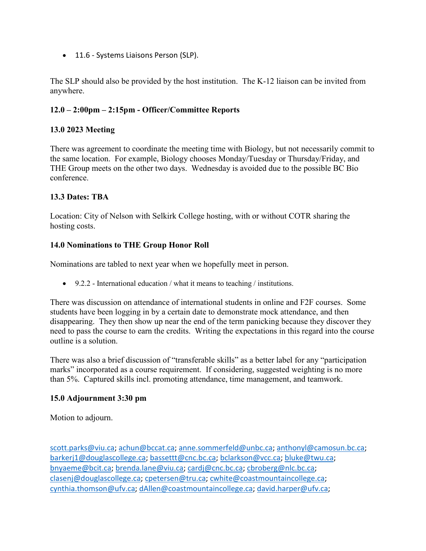• 11.6 - Systems Liaisons Person (SLP).

The SLP should also be provided by the host institution. The K-12 liaison can be invited from anywhere.

# **12.0 – 2:00pm – 2:15pm - Officer/Committee Reports**

## **13.0 2023 Meeting**

There was agreement to coordinate the meeting time with Biology, but not necessarily commit to the same location. For example, Biology chooses Monday/Tuesday or Thursday/Friday, and THE Group meets on the other two days. Wednesday is avoided due to the possible BC Bio conference.

# **13.3 Dates: TBA**

Location: City of Nelson with Selkirk College hosting, with or without COTR sharing the hosting costs.

# **14.0 Nominations to THE Group Honor Roll**

Nominations are tabled to next year when we hopefully meet in person.

• 9.2.2 - International education / what it means to teaching / institutions.

There was discussion on attendance of international students in online and F2F courses. Some students have been logging in by a certain date to demonstrate mock attendance, and then disappearing. They then show up near the end of the term panicking because they discover they need to pass the course to earn the credits. Writing the expectations in this regard into the course outline is a solution.

There was also a brief discussion of "transferable skills" as a better label for any "participation marks" incorporated as a course requirement. If considering, suggested weighting is no more than 5%. Captured skills incl. promoting attendance, time management, and teamwork.

## **15.0 Adjournment 3:30 pm**

Motion to adjourn.

[scott.parks@viu.ca;](mailto:scott.parks@viu.ca) [achun@bccat.ca;](mailto:achun@bccat.ca) [anne.sommerfeld@unbc.ca;](mailto:anne.sommerfeld@unbc.ca) [anthonyl@camosun.bc.ca;](mailto:anthonyl@camosun.bc.ca) [barkerj1@douglascollege.ca;](mailto:barkerj1@douglascollege.ca) [bassettt@cnc.bc.ca;](mailto:bassettt@cnc.bc.ca) [bclarkson@vcc.ca;](mailto:bclarkson@vcc.ca) [bluke@twu.ca;](mailto:bluke@twu.ca) [bnyaeme@bcit.ca;](mailto:bnyaeme@bcit.ca) [brenda.lane@viu.ca;](mailto:brenda.lane@viu.ca) [cardj@cnc.bc.ca;](mailto:cardj@cnc.bc.ca) [cbroberg@nlc.bc.ca;](mailto:cbroberg@nlc.bc.ca) [clasenj@douglascollege.ca;](mailto:clasenj@douglascollege.ca) [cpetersen@tru.ca;](mailto:cpetersen@tru.ca) [cwhite@coastmountaincollege.ca;](mailto:cwhite@coastmountaincollege.ca) [cynthia.thomson@ufv.ca;](mailto:cynthia.thomson@ufv.ca) [dAllen@coastmountaincollege.ca;](mailto:dAllen@coastmountaincollege.ca) [david.harper@ufv.ca;](mailto:david.harper@ufv.ca)